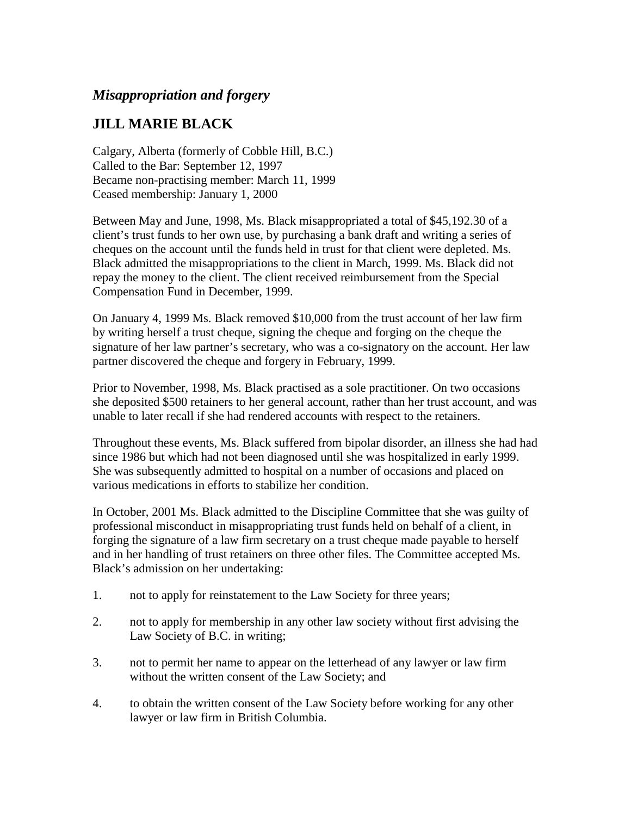## *Misappropriation and forgery*

## **JILL MARIE BLACK**

Calgary, Alberta (formerly of Cobble Hill, B.C.) Called to the Bar: September 12, 1997 Became non-practising member: March 11, 1999 Ceased membership: January 1, 2000

Between May and June, 1998, Ms. Black misappropriated a total of \$45,192.30 of a client's trust funds to her own use, by purchasing a bank draft and writing a series of cheques on the account until the funds held in trust for that client were depleted. Ms. Black admitted the misappropriations to the client in March, 1999. Ms. Black did not repay the money to the client. The client received reimbursement from the Special Compensation Fund in December, 1999.

On January 4, 1999 Ms. Black removed \$10,000 from the trust account of her law firm by writing herself a trust cheque, signing the cheque and forging on the cheque the signature of her law partner's secretary, who was a co-signatory on the account. Her law partner discovered the cheque and forgery in February, 1999.

Prior to November, 1998, Ms. Black practised as a sole practitioner. On two occasions she deposited \$500 retainers to her general account, rather than her trust account, and was unable to later recall if she had rendered accounts with respect to the retainers.

Throughout these events, Ms. Black suffered from bipolar disorder, an illness she had had since 1986 but which had not been diagnosed until she was hospitalized in early 1999. She was subsequently admitted to hospital on a number of occasions and placed on various medications in efforts to stabilize her condition.

In October, 2001 Ms. Black admitted to the Discipline Committee that she was guilty of professional misconduct in misappropriating trust funds held on behalf of a client, in forging the signature of a law firm secretary on a trust cheque made payable to herself and in her handling of trust retainers on three other files. The Committee accepted Ms. Black's admission on her undertaking:

- 1. not to apply for reinstatement to the Law Society for three years;
- 2. not to apply for membership in any other law society without first advising the Law Society of B.C. in writing;
- 3. not to permit her name to appear on the letterhead of any lawyer or law firm without the written consent of the Law Society; and
- 4. to obtain the written consent of the Law Society before working for any other lawyer or law firm in British Columbia.